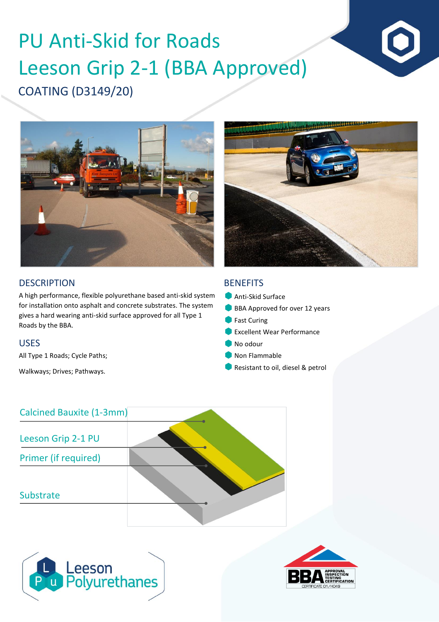# COATING (D3149/20) PU Anti-Skid for Roads Leeson Grip 2-1 (BBA Approved)





A high performance, flexible polyurethane based anti-skid system for installation onto asphalt and concrete substrates. The system gives a hard wearing anti-skid surface approved for all Type 1 Roads by the BBA.

### USES

All Type 1 Roads; Cycle Paths;

Walkways; Drives; Pathways.

## **BENEFITS**

- **Anti-Skid Surface**
- BBA Approved for over 12 years
- **Fast Curing**
- **Excellent Wear Performance**
- No odour
- Non Flammable
- Resistant to oil, diesel & petrol